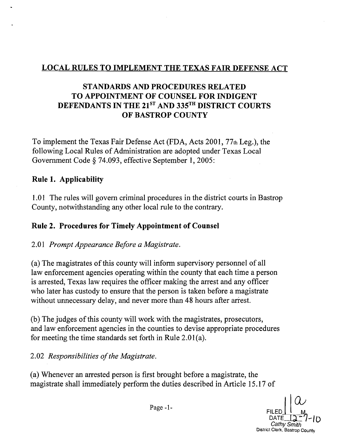### LOCAL RULES to IMPLEMENT THE TEXAS FAIR DEFENSE ACT

## STANDARDS AND PROCEDURES RELATED TO APPOINTMENT OF COUNSEL FOR INDIGENT DEFENDANTS IN THE 21<sup>ST</sup> AND 335<sup>TH</sup> DISTRICT COURTS OF BASTROP COUNTY

To implement the Texas Fair Defense Act (FDA, Acts 2001, 77th Leg.), the following Local Rules of Administration are adopted under Texas Local Government Code § 74.093, effective September 1, 2005:

#### Rule 1. Applicability

1.01 The rules will govern criminal procedures in the district courts in Bastrop County, notwithstanding any other local rule to the contrary.

#### Rule 2. Procedures for Timely Appointment of Counsel

#### *2.01 Prompt Appearance Before a Magistrate.*

(a) The magistrates of this county will inform supervisory personnel of all law enforcement agencies operating within the county that each time a person is arrested, Texas law requires the officer making the arrest and any officer who later has custody to ensure that the person is taken before a magistrate without unnecessary delay, and never more than 48 hours after arrest.

(b) The judges of this county will work with the magistrates, prosecutors, and law enforcement agencies in the counties to devise appropriate procedures for meeting the time standards set forth in Rule 2.01(a).

2.02 *Responsibilities of the Magistrate.* 

(a) Whenever an arrested person is first brought before a magistrate, the magistrate shall immediately perform the duties described in Article 15.17 of

Page -1- $\bigcup_{\text{FILED}} \bigcup_{\text{M}} \bigcup_{\text{M}}$ **ILED | |**<br>DATE <u>| D</u><sup>--</sup>/<br>*Cathy Smith* District Clerk, Bastrop County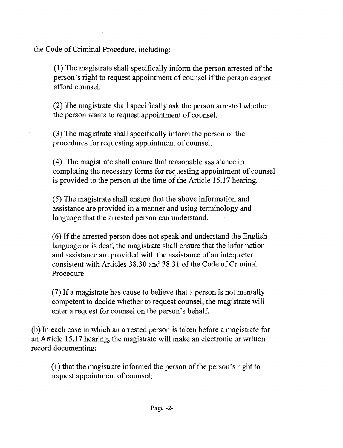the Code of Criminal Procedure, including:

(1) The magistrate shall specifically inform the person arrested of the person's right to request appointment of counsel if the person cannot afford counsel.

(2) The magistrate shall specifically ask the person arrested whether the person wants to request appointment of counsel.

 $(3)$  The magistrate shall specifically inform the person of the procedures for requesting appointment of counsel.

(4) The magistrate shall ensure that reasonable assistance in completing the necessary forms for requesting appointment of counsel is provided to the person at the time of the Article 15.17 hearing.

(5) The magistrate shall ensure that the above information and assistance are provided in a manner and using terminology and language that the arrested person can understand.

(6) Ifthe arrested person does not speak and understand the English language or is deaf, the magistrate shall ensure that the information and assistance are provided with the assistance of an interpreter consistent with Articles 38.30 and 38.31 of the Code of Criminal Procedure.

(7) If a magistrate has cause to believe that a person is not mentally competent to decide whether to request counsel, the magistrate will enter a request for counsel on the person's behalf.

(b) In each case in which an arrested person is taken before a magistrate for an Article 15.17 hearing, the magistrate will make an electronic or written record documenting:

 $(1)$  that the magistrate informed the person of the person's right to request appointment of counsel;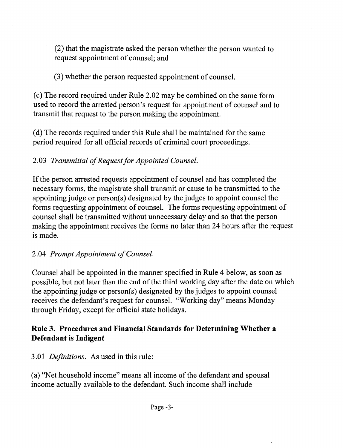(2) that the magistrate asked the person whether the person wanted to request appointment of counsel; and

(3) whether the person requested appointment of counsel.

(c) The record required under Rule 2.02 may be combined on the same fonn used to record the arrested person's request for appointment of counsel and to transmit that request to the person making the appointment.

(d) The records required under this Rule shall be maintained for the same period required for all official records of criminal court proceedings.

# 2.03 Transmittal of Request for Appointed Counsel.

If the person arrested requests appointment of counsel and has completed the necessary fonns, the magistrate shall transmit or cause to be transmitted to the appointing judge or person(s) designated by the judges to appoint counsel the forms requesting appointment of counsel. The forms requesting appointment of counsel shall be transmitted without unnecessary delay and so that the person making the appointment receives the forms no later than 24 hours after the request is made.

# 2.04 Prompt Appointment of Counsel.

Counsel shall be appointed in the manner specified in Rule 4 below, as soon as possible, but not later than the end of the third working day after the date on which the appointing judge or person(s) designated by the judges to appoint counsel receives the defendant's request for counsel. "Working day" means Monday through Friday, except for official state holidays.

## Rule 3. Procedures and Financial Standards for Determining Whether a Defendant is Indigent

*3.01 Definitions.* As used in this rule:

(a) "Net household income" means all income of the defendant and spousal income actually available to the defendant. Such income shall include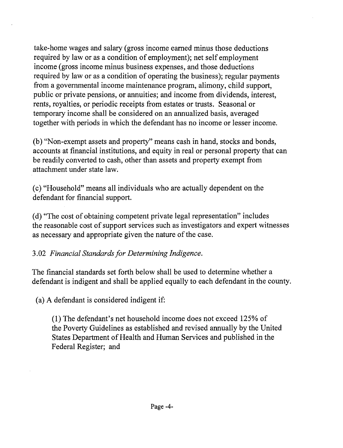take-home wages and salary (gross income earned minus those deductions required by law or as a condition of employment); net self employment income (gross income minus business expenses, and those deductions required by law or as a condition of operating the business); regular payments from a governmental income maintenance program, alimony, child support, public or private pensions, or annuities; and income from dividends, interest, rents, royalties, or periodic receipts from estates or trusts. Seasonal or temporary income shall be considered on an annualized basis, averaged together with periods in which the defendant has no income or lesser income.

(b) "Non-exempt assets and property" means cash in hand, stocks and bonds, accounts at financial institutions, and equity in real or personal property that can be readily converted to cash, other than assets and property exempt from attachment under state law.

(c) "Household" means all individuals who are actually dependent on the defendant for financial support.

(d) "The cost of obtaining competent private legal representation" includes the reasonable cost of support services such as investigators and expert witnesses as necessary and appropriate given the nature of the case.

## 3.02 Financial Standards for Determining Indigence.

The financial standards set forth below shall be used to determine whether a defendant is indigent and shall be applied equally to each defendant in the county.

(a) A defendant is considered indigent if:

(1) The defendant's net household income does not exceed 125% of the Poverty Guidelines as established and revised annually by the United States Department of Health and Human Services and published in the Federal Register; and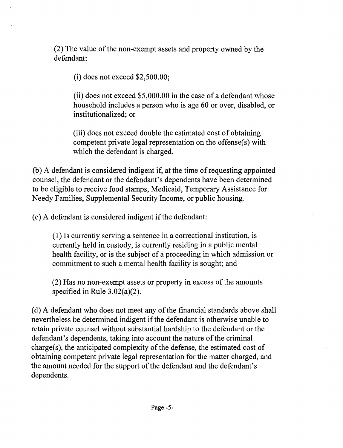$(2)$  The value of the non-exempt assets and property owned by the defendant:

(i) does not exceed \$2,500.00;

(ii) does not exceed \$5,000.00 in the case of a defendant whose household includes a person who is age 60 or over, disabled, or institutionalized; or

(iii) does not exceed double the estimated cost of obtaining competent private legal representation on the offense(s) with which the defendant is charged.

(b) A defendant is considered indigent if, at the time of requesting appointed counsel, the defendant or the defendant's dependents have been determined to be eligible to receive food stamps, Medicaid, Temporary Assistance for Needy Families, Supplemental Security Income, or public housing.

 $(c)$  A defendant is considered indigent if the defendant:

(I) Is currently serving a sentence in a correctional institution, is currently held in custody, is currently residing in a public mental health facility, or is the subject of a proceeding in which admission or commitment to such a mental health facility is sought; and

(2) Has no non-exempt assets or property in excess of the amounts specified in Rule 3.02(a)(2}.

(d) A defendant who does not meet any of the financial standards above shall nevertheless be determined indigent if the defendant is otherwise unable to retain private counsel without substantial hardship to the defendant or the defendant's dependents, taking into account the nature of the criminal charge(s), the anticipated complexity of the defense, the estimated cost of obtaining competent private legal representation for the matter charged, and the amount needed for the support of the defendant and the defendant's dependents.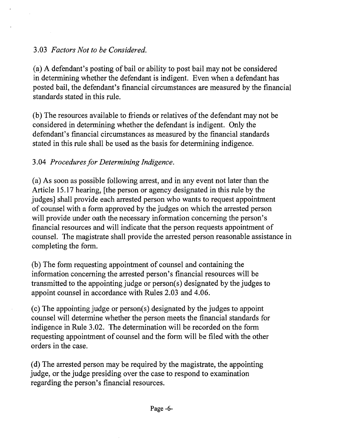#### *3.03 Factors Not to be Considered.*

(a) A defendant's posting of bail or ability to post bail may not be considered in determining whether the defendant is indigent. Even when a defendant has posted bail, the defendant's financial circumstances are measured by the financial standards stated in this rule.

(b) The resources available to friends or relatives of the defendant may not be considered in determining whether the defendant is indigent. Only the defendant's financial circumstances as measured by the financial standards stated in this rule shall be used as the basis for determining indigence.

#### *3.04 Procedures/or Determining Indigence.*

(a) As soon as possible following arrest, and in any event not later than the Article 15.17 hearing, [the person or agency designated in this rule by the judges] shall provide each arrested person who wants to request appointment of counsel with a form approved by the judges on which the arrested person will provide under oath the necessary information concerning the person's financial resources and will indicate that the person requests appointment of counsel. The magistrate shall provide the arrested person reasonable assistance in completing the form.

(b) The form requesting appointment of counsel and containing the information concerning the arrested person's financial resources will be transmitted to the appointing judge or person( s) designated by the judges to appoint counsel in accordance with Rules 2.03 and 4.06.

(c) The appointing judge or person( s) designated by the judges to appoint counsel will determine whether the person meets the financial standards for indigence in Rule 3.02. The determination will be recorded on the form requesting appointment of counsel and the form will be filed with the other orders in the case.

(d) The arrested person may be required by the magistrate, the appointing judge, or the judge presiding over the case to respond to examination regarding the person's financial resources.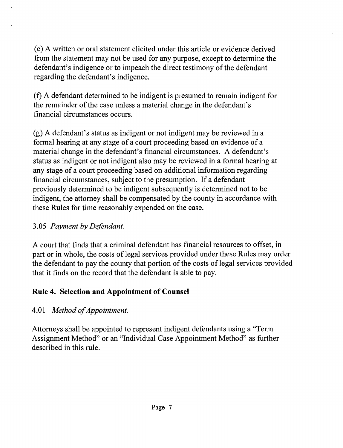(e) A written or oral statement elicited under this article or evidence derived from the statement may not be used for any purpose, except to determine the defendant's indigence or to impeach the direct testimony of the defendant regarding the defendant's indigence.

(f) A defendant determined to be indigent is presumed to remain indigent for the remainder of the case unless a material change in the defendant's financial circumstances occurs.

(g) A defendant's status as indigent or not indigent may be reviewed in a formal hearing at any stage of a court proceeding based on evidence of a material change in the defendant's financial circumstances. A defendant's status as indigent or not indigent also may be reviewed in a formal hearing at any stage of a court proceeding based on additional information regarding financial circumstances, subject to the presumption. If a defendant previously determined to be indigent subsequently is determined not to be indigent, the attorney shall be compensated by the county in accordance with these Rules for time reasonably expended on the case.

### *3.05 Payment by Defendant.*

A court that finds that a criminal defendant has financial resources to offset, in part or in whole, the costs of legal services provided under these Rules may order the defendant to pay the county that portion of the costs of legal services provided that it finds on the record that the defendant is able to pay.

## **Rule 4. Selection and Appointment of Counsel**

## *4.01 Method ofAppointment.*

Attorneys shall be appointed to represent indigent defendants using a "Term Assignment Method" or an "Individual Case Appointment Method" as further described in this rule.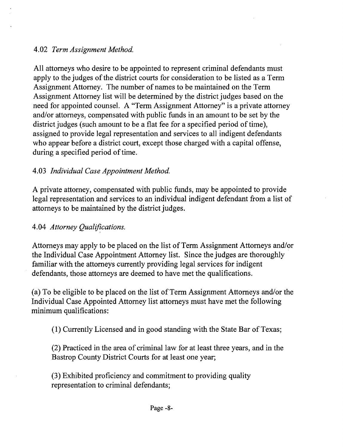#### *4.02 Term Assignment Method.*

All attorneys who desire to be appointed to represent criminal defendants must apply to the judges of the district courts for consideration to be listed as a Term Assignment Attorney. The number of names to be maintained on the Term Assignment Attorney list will be determined by the district judges based on the need for appointed counsel. A "Term Assignment Attorney" is a private attorney and/or attorneys, compensated with public funds in an amount to be set by the district judges (such amount to be a flat fee for a specified period of time), assigned to provide legal representation and services to all indigent defendants who appear before a district court, except those charged with a capital offense, during a specified period of time.

#### *4.03 Individual Case Appointment Method.*

A private attorney, compensated with public funds, may be appointed to provide legal representation and services to an individual indigent defendant from a list of attorneys to be maintained by the district judges.

#### 4.04 Attorney Qualifications.

Attorneys may apply to be placed on the list of Term Assignment Attorneys and/or the Individual Case Appointment Attorney list. Since the judges are thoroughly familiar with the attorneys currently providing legal services for indigent defendants, those attorneys are deemed to have met the qualifications.

(a) To be eligible to be placed on the list of Term Assignment Attorneys and/or the Individual Case Appointed Attorney list attorneys must have met the following minimum qualifications:

(1) Currently Licensed and in good standing with the State Bar of Texas;

(2) Practiced in the area of criminal law for at least three years, and in the Bastrop County District Courts for at least one year;

(3) Exhibited proficiency and commitment to providing quality representation to criminal defendants;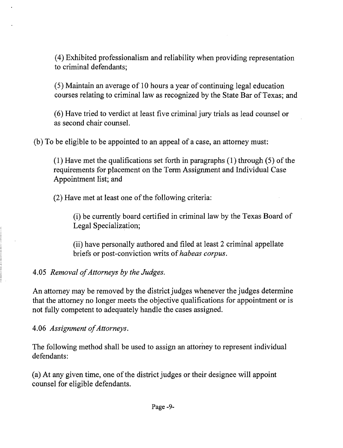(4) Exhibited professionalism and reliability when providing representation to criminal defendants;

(5) Maintain an average of 10 hours a year of continuing legal education courses relating to criminal law as recognized by the State Bar of Texas; and

(6) Have tried to verdict at least five criminal jury trials as lead counselor as second chair counsel.

(b) To be eligible to be appointed to an appeal of a case, an attorney must:

(1) Have met the qualifications set forth in paragraphs  $(1)$  through  $(5)$  of the requirements for placement on the Term Assignment and Individual Case Appointment list; and

 $(2)$  Have met at least one of the following criteria:

(i) be currently board certified in criminal law by the Texas Board of Legal Specialization;

(ii) have personally authored and filed at least 2 criminal appellate briefs or post-conviction writs of*habeas corpus.* 

4.05 Removal of Attorneys by the Judges.

An attorney may be removed by the district judges whenever the judges determine that the attorney no longer meets the objective qualifications for appointment or is not fully competent to adequately handle the cases assigned.

4.06 Assignment of Attorneys.

The following method shall be used to assign an attorney to represent individual defendants:

(a) At any given time, one ofthe district judges or their designee will appoint counsel for eligible defendants.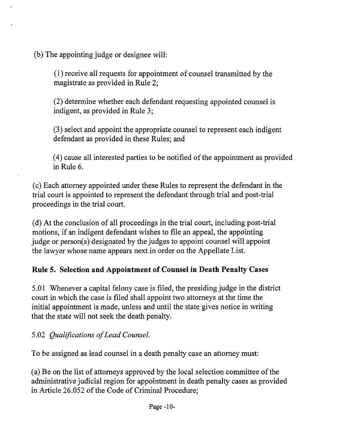(b) The appointing judge or designee will:

(I) receive all requests for appointment of counsel transmitted by the magistrate as provided in Rule 2;

(2) determine whether each defendant requesting appointed counsel is indigent, as provided in Rule 3;

(3) select and appoint the appropriate counsel to represent each indigent defendant as provided in these Rules; and

(4) cause all interested parties to be notified of the appointment as provided in Rule 6.

(c) Each attorney appointed under these Rules to represent the defendant in the trial court is appointed to represent the defendant through trial and post-trial proceedings in the trial court.

(d) At the conclusion of all proceedings in the trial court, including post-trial motions, if an indigent defendant wishes to file an appeal, the appointing judge or person(s) designated by the judges to appoint counsel will appoint the lawyer whose name appears next in order on the Appellate List.

# **Rule 5. Selection and Appointment of Counsel in Death Penalty** Cases

5.01 Whenever a capital felony case is filed, the presiding judge in the district court in which the case is filed shall appoint two attorneys at the time the initial appointment is made, unless and until the state gives notice in writing that the state will not seek the death penalty.

*5.02 Qualifications ofLead Counsel.* 

To be assigned as lead counsel in a death penalty case an attorney must:

(a) Be on the list of attorneys approved by the local selection committee of the administrative judicial region for appointment in death penalty cases as provided in Article 26.052 of the Code of Criminal Procedure;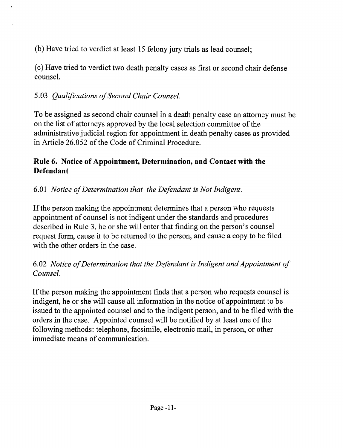(b) Have tried to verdict at least 15 felony jury trials as lead counsel;

(c) Have tried to verdict two death penalty cases as first or second chair defense counsel.

# *5.03 Qualifications ofSecond Chair Counsel.*

To be assigned as second chair counsel in a death penalty case an attorney must be on the list of attorneys approved by the local selection committee of the administrative judicial region for appointment in death penalty cases as provided in Article 26.052 of the Code of Criminal Procedure.

## Rule 6. Notice of Appointment, Determination, and Contact with the Defendant

# *6.01 Notice ofDetermination that the Defendant is Not Indigent.*

If the person making the appointment determines that a person who requests appointment of counsel is not indigent under the standards and procedures described in Rule 3, he or she will enter that finding on the person's counsel request form, cause it to be returned to the person, and cause a copy to be filed with the other orders in the case.

## *6.02 Notice ofDetermination that the Defendant is Indigent and Appointment of Counsel.*

If the person making the appointment finds that a person who requests counsel is indigent, he or she will cause all information in the notice of appointment to be issued to the appointed counsel and to the indigent person, and to be filed with the orders in the case. Appointed counsel will be notified by at least one of the following methods: telephone, facsimile, electronic mail, in person, or other immediate means of communication.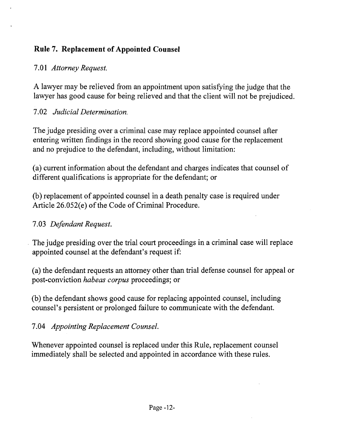# **Rule 7. Replacement of Appointed Counsel**

## *7.01 Attorney Request.*

A lawyer may be relieved from an appointment upon satisfying the judge that the lawyer has good cause for being relieved and that the client will not be prejudiced.

# *7.02 Judicial Determination.*

The judge presiding over a criminal case may replace appointed counsel after entering written findings in the record showing good cause for the replacement and no prejudice to the defendant, including, without limitation:

(a) current information about the defendant and charges indicates that counsel of different qualifications is appropriate for the defendant; or

(b) replacement of appointed counsel in a death penalty case is required under Article  $26.052(e)$  of the Code of Criminal Procedure.

## *7.03 Defendant Request .*

. The judge presiding over the trial court proceedings in a criminal case will replace appointed counsel at the defendant's request if:

(a) the defendant requests an attorney other than trial defense counsel for appeal or post-conviction *habeas corpus* proceedings; or

(b) the defendant shows good cause for replacing appointed counsel, including counsel's persistent or prolonged failure to communicate with the defendant.

*7.04 Appointing Replacement Counsel.* 

Whenever appointed counsel is replaced under this Rule, replacement counsel immediately shall be selected and appointed in accordance with these rules.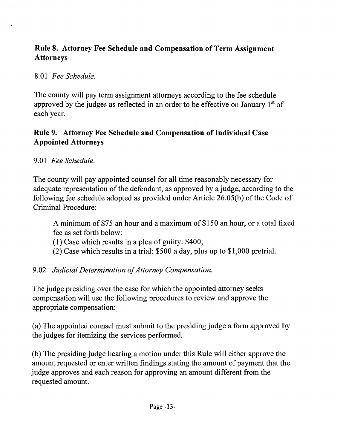## Rule 8. Attorney Fee Schedule and Compensation of Term Assignment Attorneys

*8.01 Fee Schedule.* 

The county will pay term assignment attorneys according to the fee schedule approved by the judges as reflected in an order to be effective on January  $1<sup>st</sup>$  of each year.

### Rule 9. Attorney Fee Schedule and Compensation of Individual Case Appointed Attorneys

*9.01 Fee Schedule.* 

The county will pay appointed counsel for all time reasonably necessary for adequate representation of the defendant, as approved by a judge, according to the following fee schedule adopted as provided under Article 26.05(b) of the Code of Criminal Procedure:

A minimum of \$75 an hour and a maximum of \$150 an hour, or a total fixed fee as set forth below:

(1) Case which results in a plea of guilty: \$400;

(2) Case which results in a trial: \$500 a day, plus up to \$1,000 pretrial.

9.02 Judicial Determination of Attorney Compensation.

The judge presiding over the case for which the appointed attorney seeks compensation will use the following procedures to review and approve the appropriate compensation:

(a) The appointed counsel must submit to the presiding judge a form approved by the judges for itemizing the services performed.

(b) The presiding judge hearing a motion under this Rule will either approve the amount requested or enter written findings stating the amount of payment that the judge approves and each reason for approving an amount different from the requested amount.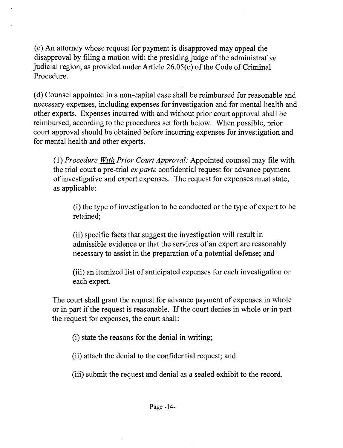(c) An attorney whose request for payment is disapproved may appeal the disapproval by filing a motion with the presiding judge of the administrative judicial region, as provided under Article  $26.05(c)$  of the Code of Criminal Procedure.

(d) Counsel appointed in a non-capital case shall be reimbursed for reasonable and necessary expenses, including expenses for investigation and for mental health and other experts. Expenses incurred with and without prior court approval shall be reimbursed, according to the procedures set forth below. When possible, prior court approval should be obtained before incurring expenses for investigation and for mental health and other experts.

(1) *Procedure With Prior Court Approval:* Appointed counsel may file with the trial court a pre-trial *ex parte* confidential request for advance payment of investigative and expert expenses. The request for expenses must state, as applicable:

(i) the type ofinvestigation to be conducted or the type of expert to be retained;

(ii) specific facts that suggest the investigation will result in admissible evidence or that the services of an expert are reasonably necessary to assist in the preparation of a potential defense; and

(iii) an itemized list of anticipated expenses for each investigation or each expert.

The court shall grant the request for advance payment of expenses in whole or in part if the request is reasonable. If the court denies in whole or in part the request for expenses, the court shall:

(i) state the reasons for the denial in writing;

(ii) attach the denial to the confidential request; and

(iii) submit the request and denial as a sealed exhibit to the record.